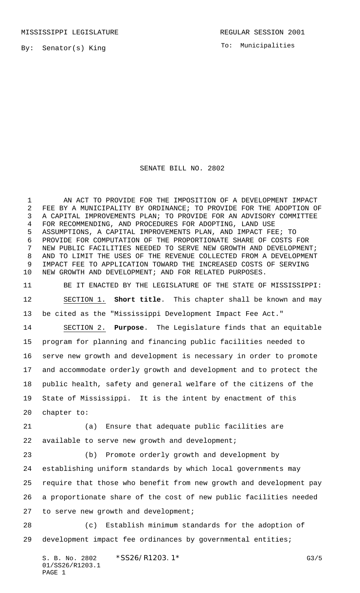MISSISSIPPI LEGISLATURE **REGULAR SESSION 2001** 

By: Senator(s) King

To: Municipalities

## SENATE BILL NO. 2802

 AN ACT TO PROVIDE FOR THE IMPOSITION OF A DEVELOPMENT IMPACT FEE BY A MUNICIPALITY BY ORDINANCE; TO PROVIDE FOR THE ADOPTION OF A CAPITAL IMPROVEMENTS PLAN; TO PROVIDE FOR AN ADVISORY COMMITTEE FOR RECOMMENDING, AND PROCEDURES FOR ADOPTING, LAND USE ASSUMPTIONS, A CAPITAL IMPROVEMENTS PLAN, AND IMPACT FEE; TO PROVIDE FOR COMPUTATION OF THE PROPORTIONATE SHARE OF COSTS FOR NEW PUBLIC FACILITIES NEEDED TO SERVE NEW GROWTH AND DEVELOPMENT; AND TO LIMIT THE USES OF THE REVENUE COLLECTED FROM A DEVELOPMENT IMPACT FEE TO APPLICATION TOWARD THE INCREASED COSTS OF SERVING NEW GROWTH AND DEVELOPMENT; AND FOR RELATED PURPOSES.

 BE IT ENACTED BY THE LEGISLATURE OF THE STATE OF MISSISSIPPI: SECTION 1. **Short title**. This chapter shall be known and may be cited as the "Mississippi Development Impact Fee Act."

 SECTION 2. **Purpose**. The Legislature finds that an equitable program for planning and financing public facilities needed to serve new growth and development is necessary in order to promote and accommodate orderly growth and development and to protect the public health, safety and general welfare of the citizens of the State of Mississippi. It is the intent by enactment of this chapter to:

 (a) Ensure that adequate public facilities are 22 available to serve new growth and development;

 (b) Promote orderly growth and development by establishing uniform standards by which local governments may require that those who benefit from new growth and development pay a proportionate share of the cost of new public facilities needed to serve new growth and development;

 (c) Establish minimum standards for the adoption of development impact fee ordinances by governmental entities;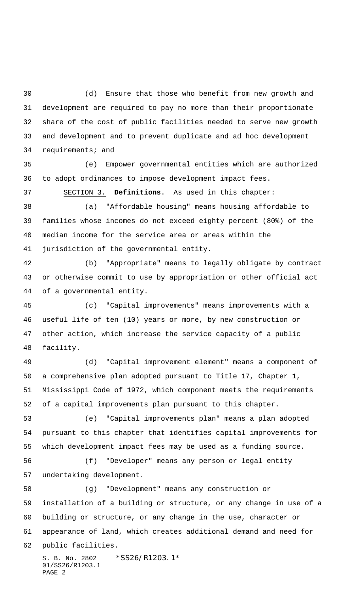(d) Ensure that those who benefit from new growth and development are required to pay no more than their proportionate share of the cost of public facilities needed to serve new growth and development and to prevent duplicate and ad hoc development requirements; and

 (e) Empower governmental entities which are authorized to adopt ordinances to impose development impact fees.

SECTION 3. **Definitions**. As used in this chapter:

 (a) "Affordable housing" means housing affordable to families whose incomes do not exceed eighty percent (80%) of the median income for the service area or areas within the jurisdiction of the governmental entity.

 (b) "Appropriate" means to legally obligate by contract or otherwise commit to use by appropriation or other official act of a governmental entity.

 (c) "Capital improvements" means improvements with a useful life of ten (10) years or more, by new construction or other action, which increase the service capacity of a public facility.

 (d) "Capital improvement element" means a component of a comprehensive plan adopted pursuant to Title 17, Chapter 1, Mississippi Code of 1972, which component meets the requirements of a capital improvements plan pursuant to this chapter.

 (e) "Capital improvements plan" means a plan adopted pursuant to this chapter that identifies capital improvements for which development impact fees may be used as a funding source.

 (f) "Developer" means any person or legal entity undertaking development.

 (g) "Development" means any construction or installation of a building or structure, or any change in use of a building or structure, or any change in the use, character or appearance of land, which creates additional demand and need for public facilities.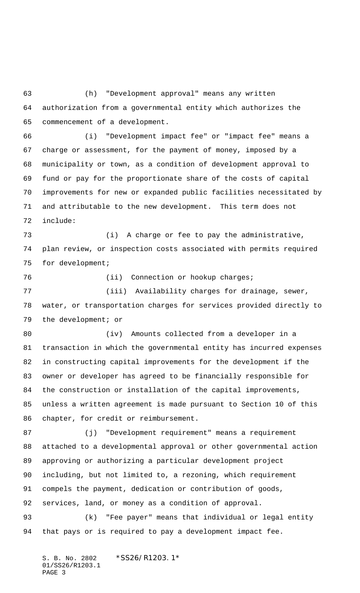(h) "Development approval" means any written authorization from a governmental entity which authorizes the commencement of a development.

 (i) "Development impact fee" or "impact fee" means a charge or assessment, for the payment of money, imposed by a municipality or town, as a condition of development approval to fund or pay for the proportionate share of the costs of capital improvements for new or expanded public facilities necessitated by and attributable to the new development. This term does not include:

 (i) A charge or fee to pay the administrative, plan review, or inspection costs associated with permits required for development;

76 (ii) Connection or hookup charges;

77 (iii) Availability charges for drainage, sewer, water, or transportation charges for services provided directly to the development; or

 (iv) Amounts collected from a developer in a transaction in which the governmental entity has incurred expenses in constructing capital improvements for the development if the owner or developer has agreed to be financially responsible for the construction or installation of the capital improvements, unless a written agreement is made pursuant to Section 10 of this chapter, for credit or reimbursement.

 (j) "Development requirement" means a requirement attached to a developmental approval or other governmental action approving or authorizing a particular development project including, but not limited to, a rezoning, which requirement compels the payment, dedication or contribution of goods, services, land, or money as a condition of approval.

 (k) "Fee payer" means that individual or legal entity that pays or is required to pay a development impact fee.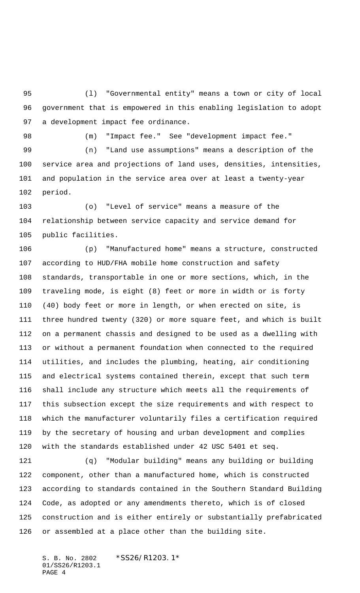(l) "Governmental entity" means a town or city of local government that is empowered in this enabling legislation to adopt a development impact fee ordinance.

(m) "Impact fee." See "development impact fee."

 (n) "Land use assumptions" means a description of the service area and projections of land uses, densities, intensities, and population in the service area over at least a twenty-year period.

 (o) "Level of service" means a measure of the relationship between service capacity and service demand for public facilities.

 (p) "Manufactured home" means a structure, constructed according to HUD/FHA mobile home construction and safety standards, transportable in one or more sections, which, in the traveling mode, is eight (8) feet or more in width or is forty (40) body feet or more in length, or when erected on site, is three hundred twenty (320) or more square feet, and which is built on a permanent chassis and designed to be used as a dwelling with or without a permanent foundation when connected to the required utilities, and includes the plumbing, heating, air conditioning and electrical systems contained therein, except that such term shall include any structure which meets all the requirements of this subsection except the size requirements and with respect to which the manufacturer voluntarily files a certification required by the secretary of housing and urban development and complies with the standards established under 42 USC 5401 et seq.

 (q) "Modular building" means any building or building component, other than a manufactured home, which is constructed according to standards contained in the Southern Standard Building Code, as adopted or any amendments thereto, which is of closed construction and is either entirely or substantially prefabricated or assembled at a place other than the building site.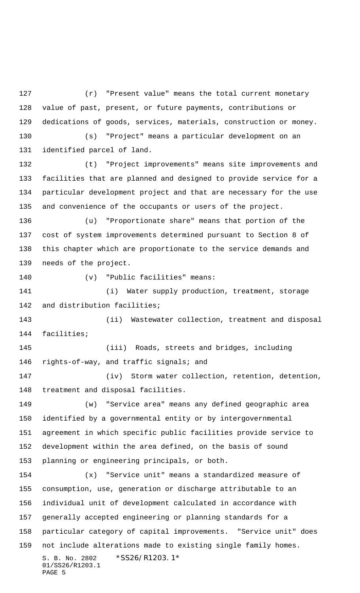(r) "Present value" means the total current monetary value of past, present, or future payments, contributions or dedications of goods, services, materials, construction or money. (s) "Project" means a particular development on an identified parcel of land. (t) "Project improvements" means site improvements and

 facilities that are planned and designed to provide service for a particular development project and that are necessary for the use and convenience of the occupants or users of the project.

 (u) "Proportionate share" means that portion of the cost of system improvements determined pursuant to Section 8 of this chapter which are proportionate to the service demands and needs of the project.

(v) "Public facilities" means:

141 (i) Water supply production, treatment, storage and distribution facilities;

 (ii) Wastewater collection, treatment and disposal facilities;

 (iii) Roads, streets and bridges, including rights-of-way, and traffic signals; and

 (iv) Storm water collection, retention, detention, treatment and disposal facilities.

 (w) "Service area" means any defined geographic area identified by a governmental entity or by intergovernmental agreement in which specific public facilities provide service to development within the area defined, on the basis of sound planning or engineering principals, or both.

S. B. No. 2802 \*SS26/R1203.1\* 01/SS26/R1203.1 PAGE 5 (x) "Service unit" means a standardized measure of consumption, use, generation or discharge attributable to an individual unit of development calculated in accordance with generally accepted engineering or planning standards for a particular category of capital improvements. "Service unit" does not include alterations made to existing single family homes.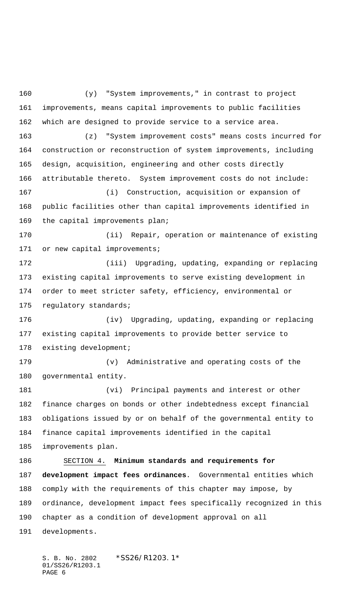(y) "System improvements," in contrast to project improvements, means capital improvements to public facilities which are designed to provide service to a service area. (z) "System improvement costs" means costs incurred for construction or reconstruction of system improvements, including design, acquisition, engineering and other costs directly attributable thereto. System improvement costs do not include: (i) Construction, acquisition or expansion of public facilities other than capital improvements identified in the capital improvements plan; (ii) Repair, operation or maintenance of existing 171 or new capital improvements; (iii) Upgrading, updating, expanding or replacing existing capital improvements to serve existing development in order to meet stricter safety, efficiency, environmental or 175 regulatory standards; (iv) Upgrading, updating, expanding or replacing existing capital improvements to provide better service to existing development; (v) Administrative and operating costs of the governmental entity. (vi) Principal payments and interest or other finance charges on bonds or other indebtedness except financial obligations issued by or on behalf of the governmental entity to finance capital improvements identified in the capital improvements plan. SECTION 4. **Minimum standards and requirements for development impact fees ordinances**. Governmental entities which comply with the requirements of this chapter may impose, by ordinance, development impact fees specifically recognized in this chapter as a condition of development approval on all developments.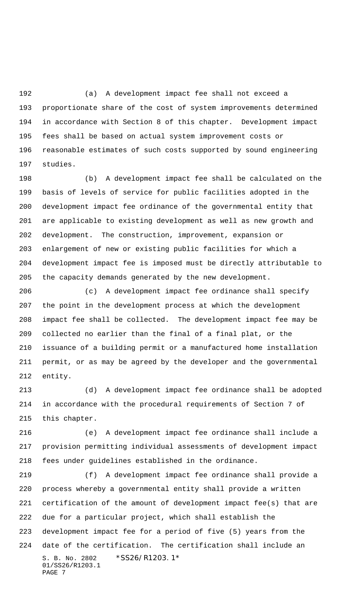(a) A development impact fee shall not exceed a proportionate share of the cost of system improvements determined in accordance with Section 8 of this chapter. Development impact fees shall be based on actual system improvement costs or reasonable estimates of such costs supported by sound engineering studies.

 (b) A development impact fee shall be calculated on the basis of levels of service for public facilities adopted in the development impact fee ordinance of the governmental entity that are applicable to existing development as well as new growth and development. The construction, improvement, expansion or enlargement of new or existing public facilities for which a development impact fee is imposed must be directly attributable to the capacity demands generated by the new development.

 (c) A development impact fee ordinance shall specify the point in the development process at which the development impact fee shall be collected. The development impact fee may be collected no earlier than the final of a final plat, or the issuance of a building permit or a manufactured home installation permit, or as may be agreed by the developer and the governmental entity.

 (d) A development impact fee ordinance shall be adopted in accordance with the procedural requirements of Section 7 of this chapter.

 (e) A development impact fee ordinance shall include a provision permitting individual assessments of development impact fees under guidelines established in the ordinance.

S. B. No. 2802 \*SS26/R1203.1\* 01/SS26/R1203.1 PAGE 7 (f) A development impact fee ordinance shall provide a process whereby a governmental entity shall provide a written certification of the amount of development impact fee(s) that are due for a particular project, which shall establish the development impact fee for a period of five (5) years from the date of the certification. The certification shall include an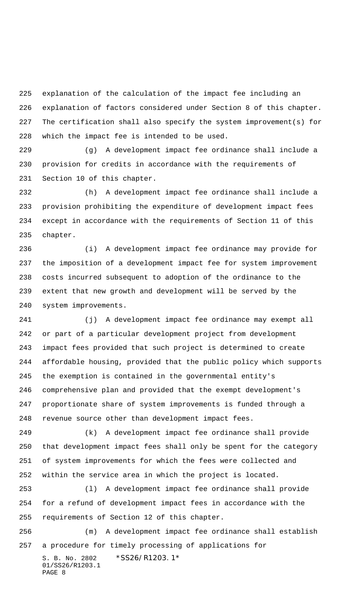explanation of the calculation of the impact fee including an explanation of factors considered under Section 8 of this chapter. The certification shall also specify the system improvement(s) for which the impact fee is intended to be used.

 (g) A development impact fee ordinance shall include a provision for credits in accordance with the requirements of Section 10 of this chapter.

 (h) A development impact fee ordinance shall include a provision prohibiting the expenditure of development impact fees except in accordance with the requirements of Section 11 of this chapter.

 (i) A development impact fee ordinance may provide for the imposition of a development impact fee for system improvement costs incurred subsequent to adoption of the ordinance to the extent that new growth and development will be served by the system improvements.

 (j) A development impact fee ordinance may exempt all or part of a particular development project from development impact fees provided that such project is determined to create affordable housing, provided that the public policy which supports the exemption is contained in the governmental entity's comprehensive plan and provided that the exempt development's proportionate share of system improvements is funded through a revenue source other than development impact fees.

 (k) A development impact fee ordinance shall provide that development impact fees shall only be spent for the category of system improvements for which the fees were collected and within the service area in which the project is located.

 (l) A development impact fee ordinance shall provide for a refund of development impact fees in accordance with the requirements of Section 12 of this chapter.

S. B. No. 2802 \*SS26/R1203.1\* 01/SS26/R1203.1 PAGE 8 (m) A development impact fee ordinance shall establish a procedure for timely processing of applications for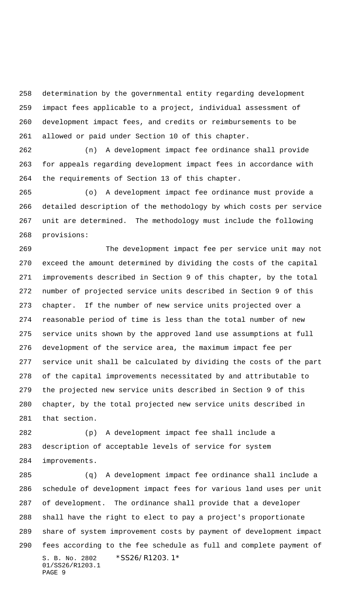determination by the governmental entity regarding development impact fees applicable to a project, individual assessment of development impact fees, and credits or reimbursements to be allowed or paid under Section 10 of this chapter.

 (n) A development impact fee ordinance shall provide for appeals regarding development impact fees in accordance with the requirements of Section 13 of this chapter.

 (o) A development impact fee ordinance must provide a detailed description of the methodology by which costs per service unit are determined. The methodology must include the following provisions:

 The development impact fee per service unit may not exceed the amount determined by dividing the costs of the capital improvements described in Section 9 of this chapter, by the total number of projected service units described in Section 9 of this chapter. If the number of new service units projected over a reasonable period of time is less than the total number of new service units shown by the approved land use assumptions at full development of the service area, the maximum impact fee per service unit shall be calculated by dividing the costs of the part of the capital improvements necessitated by and attributable to the projected new service units described in Section 9 of this chapter, by the total projected new service units described in that section.

 (p) A development impact fee shall include a description of acceptable levels of service for system improvements.

S. B. No. 2802 \*SS26/R1203.1\* 01/SS26/R1203.1 PAGE 9 (q) A development impact fee ordinance shall include a schedule of development impact fees for various land uses per unit of development. The ordinance shall provide that a developer shall have the right to elect to pay a project's proportionate share of system improvement costs by payment of development impact fees according to the fee schedule as full and complete payment of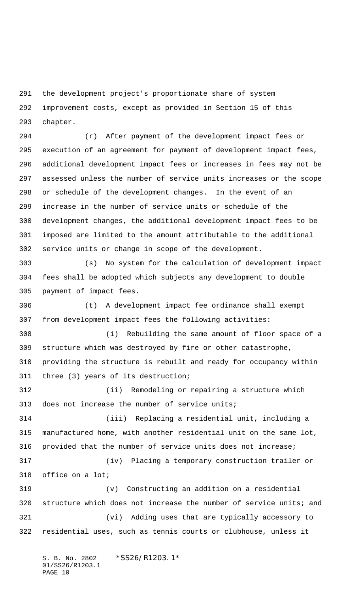the development project's proportionate share of system improvement costs, except as provided in Section 15 of this chapter.

 (r) After payment of the development impact fees or execution of an agreement for payment of development impact fees, additional development impact fees or increases in fees may not be assessed unless the number of service units increases or the scope or schedule of the development changes. In the event of an increase in the number of service units or schedule of the development changes, the additional development impact fees to be imposed are limited to the amount attributable to the additional service units or change in scope of the development.

 (s) No system for the calculation of development impact fees shall be adopted which subjects any development to double payment of impact fees.

 (t) A development impact fee ordinance shall exempt from development impact fees the following activities:

 (i) Rebuilding the same amount of floor space of a structure which was destroyed by fire or other catastrophe, providing the structure is rebuilt and ready for occupancy within three (3) years of its destruction;

 (ii) Remodeling or repairing a structure which 313 does not increase the number of service units;

 (iii) Replacing a residential unit, including a manufactured home, with another residential unit on the same lot, provided that the number of service units does not increase; (iv) Placing a temporary construction trailer or office on a lot;

 (v) Constructing an addition on a residential 320 structure which does not increase the number of service units; and (vi) Adding uses that are typically accessory to residential uses, such as tennis courts or clubhouse, unless it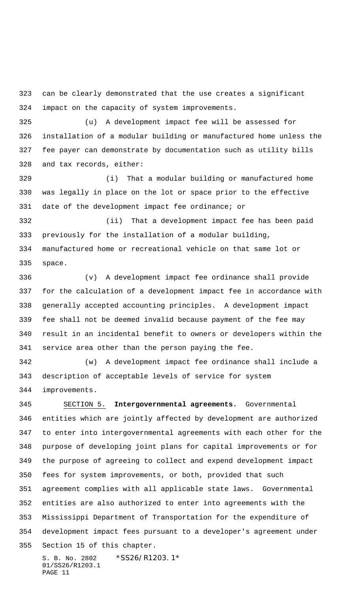can be clearly demonstrated that the use creates a significant impact on the capacity of system improvements.

 (u) A development impact fee will be assessed for installation of a modular building or manufactured home unless the fee payer can demonstrate by documentation such as utility bills and tax records, either:

 (i) That a modular building or manufactured home was legally in place on the lot or space prior to the effective date of the development impact fee ordinance; or

 (ii) That a development impact fee has been paid previously for the installation of a modular building, manufactured home or recreational vehicle on that same lot or space.

 (v) A development impact fee ordinance shall provide for the calculation of a development impact fee in accordance with generally accepted accounting principles. A development impact fee shall not be deemed invalid because payment of the fee may result in an incidental benefit to owners or developers within the service area other than the person paying the fee.

 (w) A development impact fee ordinance shall include a description of acceptable levels of service for system improvements.

 SECTION 5. **Intergovernmental agreements.** Governmental entities which are jointly affected by development are authorized to enter into intergovernmental agreements with each other for the purpose of developing joint plans for capital improvements or for the purpose of agreeing to collect and expend development impact fees for system improvements, or both, provided that such agreement complies with all applicable state laws. Governmental entities are also authorized to enter into agreements with the Mississippi Department of Transportation for the expenditure of development impact fees pursuant to a developer's agreement under Section 15 of this chapter.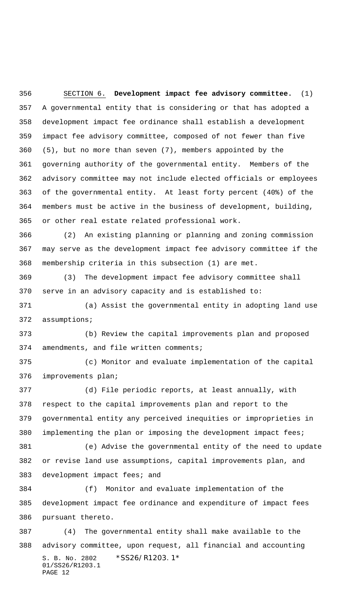SECTION 6. **Development impact fee advisory committee.** (1) A governmental entity that is considering or that has adopted a development impact fee ordinance shall establish a development impact fee advisory committee, composed of not fewer than five (5), but no more than seven (7), members appointed by the governing authority of the governmental entity. Members of the advisory committee may not include elected officials or employees of the governmental entity. At least forty percent (40%) of the members must be active in the business of development, building, or other real estate related professional work.

 (2) An existing planning or planning and zoning commission may serve as the development impact fee advisory committee if the membership criteria in this subsection (1) are met.

 (3) The development impact fee advisory committee shall serve in an advisory capacity and is established to:

 (a) Assist the governmental entity in adopting land use assumptions;

 (b) Review the capital improvements plan and proposed amendments, and file written comments;

 (c) Monitor and evaluate implementation of the capital improvements plan;

 (d) File periodic reports, at least annually, with respect to the capital improvements plan and report to the governmental entity any perceived inequities or improprieties in implementing the plan or imposing the development impact fees;

 (e) Advise the governmental entity of the need to update or revise land use assumptions, capital improvements plan, and 383 development impact fees; and

 (f) Monitor and evaluate implementation of the development impact fee ordinance and expenditure of impact fees pursuant thereto.

S. B. No. 2802 \*SS26/R1203.1\* 01/SS26/R1203.1 PAGE 12 (4) The governmental entity shall make available to the advisory committee, upon request, all financial and accounting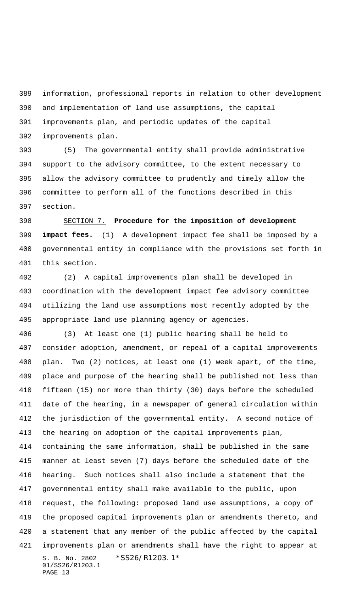information, professional reports in relation to other development and implementation of land use assumptions, the capital

improvements plan, and periodic updates of the capital

improvements plan.

 (5) The governmental entity shall provide administrative support to the advisory committee, to the extent necessary to allow the advisory committee to prudently and timely allow the committee to perform all of the functions described in this section.

 SECTION 7. **Procedure for the imposition of development impact fees.** (1) A development impact fee shall be imposed by a governmental entity in compliance with the provisions set forth in this section.

 (2) A capital improvements plan shall be developed in coordination with the development impact fee advisory committee utilizing the land use assumptions most recently adopted by the appropriate land use planning agency or agencies.

S. B. No. 2802 \*SS26/R1203.1\* 01/SS26/R1203.1 PAGE 13 (3) At least one (1) public hearing shall be held to consider adoption, amendment, or repeal of a capital improvements plan. Two (2) notices, at least one (1) week apart, of the time, place and purpose of the hearing shall be published not less than fifteen (15) nor more than thirty (30) days before the scheduled date of the hearing, in a newspaper of general circulation within the jurisdiction of the governmental entity. A second notice of the hearing on adoption of the capital improvements plan, containing the same information, shall be published in the same manner at least seven (7) days before the scheduled date of the hearing. Such notices shall also include a statement that the governmental entity shall make available to the public, upon request, the following: proposed land use assumptions, a copy of the proposed capital improvements plan or amendments thereto, and a statement that any member of the public affected by the capital improvements plan or amendments shall have the right to appear at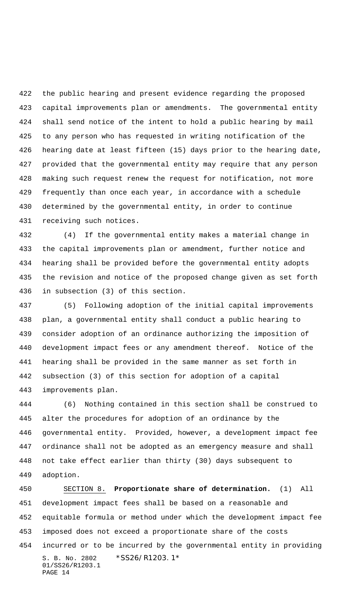the public hearing and present evidence regarding the proposed capital improvements plan or amendments. The governmental entity shall send notice of the intent to hold a public hearing by mail to any person who has requested in writing notification of the hearing date at least fifteen (15) days prior to the hearing date, provided that the governmental entity may require that any person making such request renew the request for notification, not more frequently than once each year, in accordance with a schedule determined by the governmental entity, in order to continue receiving such notices.

 (4) If the governmental entity makes a material change in the capital improvements plan or amendment, further notice and hearing shall be provided before the governmental entity adopts the revision and notice of the proposed change given as set forth in subsection (3) of this section.

 (5) Following adoption of the initial capital improvements plan, a governmental entity shall conduct a public hearing to consider adoption of an ordinance authorizing the imposition of development impact fees or any amendment thereof. Notice of the hearing shall be provided in the same manner as set forth in subsection (3) of this section for adoption of a capital improvements plan.

 (6) Nothing contained in this section shall be construed to alter the procedures for adoption of an ordinance by the governmental entity. Provided, however, a development impact fee ordinance shall not be adopted as an emergency measure and shall not take effect earlier than thirty (30) days subsequent to adoption.

S. B. No. 2802 \*SS26/R1203.1\* 01/SS26/R1203.1 PAGE 14 SECTION 8. **Proportionate share of determination.** (1) All development impact fees shall be based on a reasonable and equitable formula or method under which the development impact fee imposed does not exceed a proportionate share of the costs incurred or to be incurred by the governmental entity in providing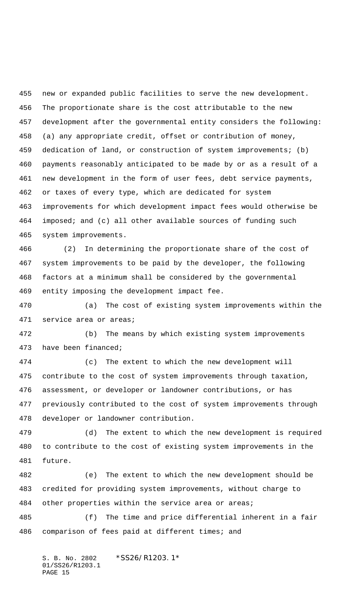new or expanded public facilities to serve the new development. The proportionate share is the cost attributable to the new development after the governmental entity considers the following: (a) any appropriate credit, offset or contribution of money, dedication of land, or construction of system improvements; (b) payments reasonably anticipated to be made by or as a result of a new development in the form of user fees, debt service payments, or taxes of every type, which are dedicated for system improvements for which development impact fees would otherwise be imposed; and (c) all other available sources of funding such system improvements.

 (2) In determining the proportionate share of the cost of system improvements to be paid by the developer, the following factors at a minimum shall be considered by the governmental entity imposing the development impact fee.

 (a) The cost of existing system improvements within the service area or areas;

 (b) The means by which existing system improvements have been financed;

 (c) The extent to which the new development will contribute to the cost of system improvements through taxation, assessment, or developer or landowner contributions, or has previously contributed to the cost of system improvements through developer or landowner contribution.

 (d) The extent to which the new development is required to contribute to the cost of existing system improvements in the future.

 (e) The extent to which the new development should be credited for providing system improvements, without charge to 484 other properties within the service area or areas;

 (f) The time and price differential inherent in a fair comparison of fees paid at different times; and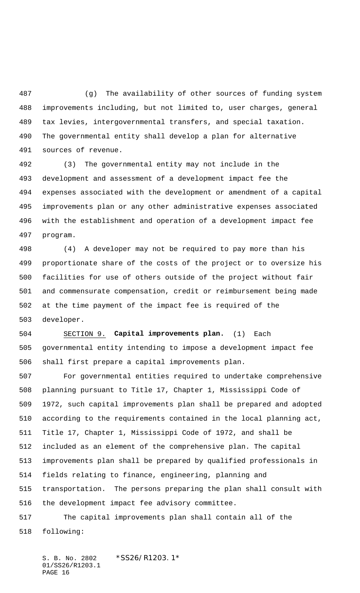(g) The availability of other sources of funding system improvements including, but not limited to, user charges, general tax levies, intergovernmental transfers, and special taxation. The governmental entity shall develop a plan for alternative sources of revenue.

 (3) The governmental entity may not include in the development and assessment of a development impact fee the expenses associated with the development or amendment of a capital improvements plan or any other administrative expenses associated with the establishment and operation of a development impact fee program.

 (4) A developer may not be required to pay more than his proportionate share of the costs of the project or to oversize his facilities for use of others outside of the project without fair and commensurate compensation, credit or reimbursement being made at the time payment of the impact fee is required of the developer.

 SECTION 9. **Capital improvements plan.** (1) Each governmental entity intending to impose a development impact fee shall first prepare a capital improvements plan.

 For governmental entities required to undertake comprehensive planning pursuant to Title 17, Chapter 1, Mississippi Code of 1972, such capital improvements plan shall be prepared and adopted according to the requirements contained in the local planning act, Title 17, Chapter 1, Mississippi Code of 1972, and shall be included as an element of the comprehensive plan. The capital improvements plan shall be prepared by qualified professionals in fields relating to finance, engineering, planning and transportation. The persons preparing the plan shall consult with the development impact fee advisory committee. The capital improvements plan shall contain all of the

following: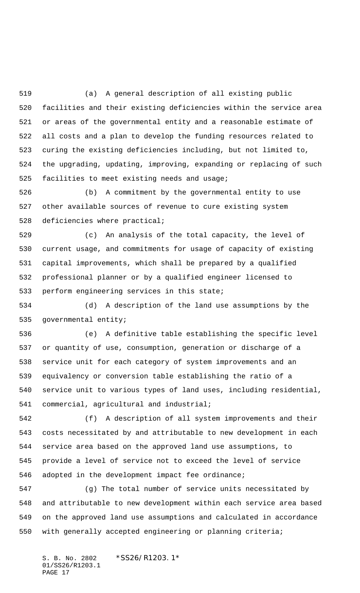(a) A general description of all existing public facilities and their existing deficiencies within the service area or areas of the governmental entity and a reasonable estimate of all costs and a plan to develop the funding resources related to curing the existing deficiencies including, but not limited to, the upgrading, updating, improving, expanding or replacing of such facilities to meet existing needs and usage;

 (b) A commitment by the governmental entity to use other available sources of revenue to cure existing system deficiencies where practical;

 (c) An analysis of the total capacity, the level of current usage, and commitments for usage of capacity of existing capital improvements, which shall be prepared by a qualified professional planner or by a qualified engineer licensed to perform engineering services in this state;

 (d) A description of the land use assumptions by the governmental entity;

 (e) A definitive table establishing the specific level or quantity of use, consumption, generation or discharge of a service unit for each category of system improvements and an equivalency or conversion table establishing the ratio of a service unit to various types of land uses, including residential, commercial, agricultural and industrial;

 (f) A description of all system improvements and their costs necessitated by and attributable to new development in each service area based on the approved land use assumptions, to provide a level of service not to exceed the level of service adopted in the development impact fee ordinance;

 (g) The total number of service units necessitated by and attributable to new development within each service area based on the approved land use assumptions and calculated in accordance with generally accepted engineering or planning criteria;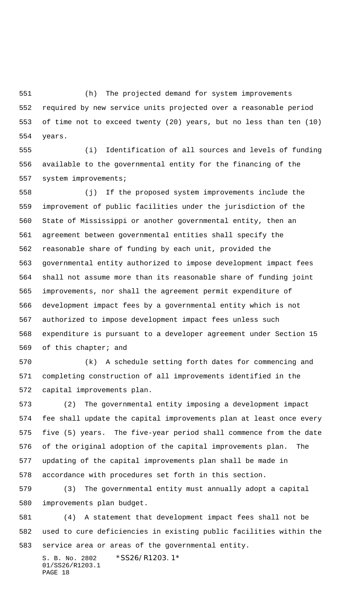(h) The projected demand for system improvements required by new service units projected over a reasonable period of time not to exceed twenty (20) years, but no less than ten (10) years.

 (i) Identification of all sources and levels of funding available to the governmental entity for the financing of the system improvements;

 (j) If the proposed system improvements include the improvement of public facilities under the jurisdiction of the State of Mississippi or another governmental entity, then an agreement between governmental entities shall specify the reasonable share of funding by each unit, provided the governmental entity authorized to impose development impact fees shall not assume more than its reasonable share of funding joint improvements, nor shall the agreement permit expenditure of development impact fees by a governmental entity which is not authorized to impose development impact fees unless such expenditure is pursuant to a developer agreement under Section 15 of this chapter; and

 (k) A schedule setting forth dates for commencing and completing construction of all improvements identified in the capital improvements plan.

 (2) The governmental entity imposing a development impact fee shall update the capital improvements plan at least once every five (5) years. The five-year period shall commence from the date of the original adoption of the capital improvements plan. The updating of the capital improvements plan shall be made in accordance with procedures set forth in this section.

 (3) The governmental entity must annually adopt a capital improvements plan budget.

 (4) A statement that development impact fees shall not be used to cure deficiencies in existing public facilities within the service area or areas of the governmental entity.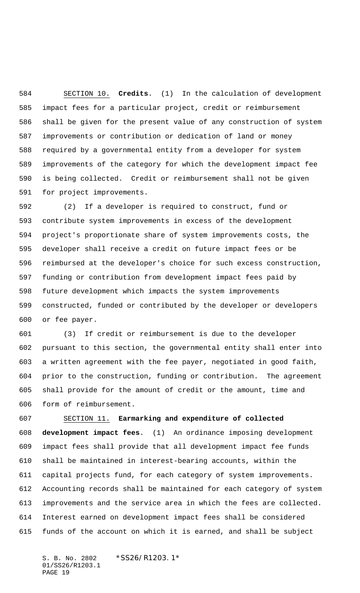SECTION 10. **Credits**. (1) In the calculation of development impact fees for a particular project, credit or reimbursement shall be given for the present value of any construction of system improvements or contribution or dedication of land or money required by a governmental entity from a developer for system improvements of the category for which the development impact fee is being collected. Credit or reimbursement shall not be given for project improvements.

 (2) If a developer is required to construct, fund or contribute system improvements in excess of the development project's proportionate share of system improvements costs, the developer shall receive a credit on future impact fees or be reimbursed at the developer's choice for such excess construction, funding or contribution from development impact fees paid by future development which impacts the system improvements constructed, funded or contributed by the developer or developers or fee payer.

 (3) If credit or reimbursement is due to the developer pursuant to this section, the governmental entity shall enter into a written agreement with the fee payer, negotiated in good faith, prior to the construction, funding or contribution. The agreement shall provide for the amount of credit or the amount, time and form of reimbursement.

 SECTION 11. **Earmarking and expenditure of collected development impact fees**. (1) An ordinance imposing development impact fees shall provide that all development impact fee funds shall be maintained in interest-bearing accounts, within the capital projects fund, for each category of system improvements. Accounting records shall be maintained for each category of system improvements and the service area in which the fees are collected. Interest earned on development impact fees shall be considered funds of the account on which it is earned, and shall be subject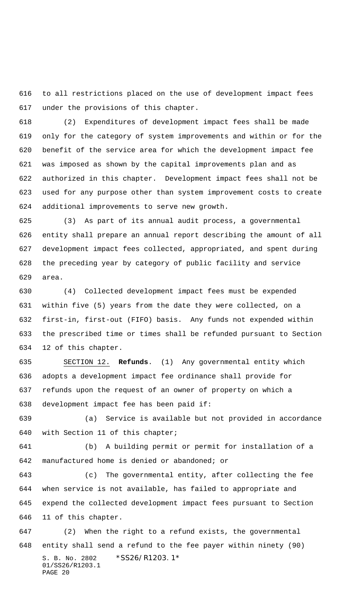to all restrictions placed on the use of development impact fees under the provisions of this chapter.

 (2) Expenditures of development impact fees shall be made only for the category of system improvements and within or for the benefit of the service area for which the development impact fee was imposed as shown by the capital improvements plan and as authorized in this chapter. Development impact fees shall not be used for any purpose other than system improvement costs to create additional improvements to serve new growth.

 (3) As part of its annual audit process, a governmental entity shall prepare an annual report describing the amount of all development impact fees collected, appropriated, and spent during the preceding year by category of public facility and service area.

 (4) Collected development impact fees must be expended within five (5) years from the date they were collected, on a first-in, first-out (FIFO) basis. Any funds not expended within the prescribed time or times shall be refunded pursuant to Section 12 of this chapter.

 SECTION 12. **Refunds**. (1) Any governmental entity which adopts a development impact fee ordinance shall provide for refunds upon the request of an owner of property on which a development impact fee has been paid if:

 (a) Service is available but not provided in accordance with Section 11 of this chapter;

 (b) A building permit or permit for installation of a manufactured home is denied or abandoned; or

 (c) The governmental entity, after collecting the fee when service is not available, has failed to appropriate and expend the collected development impact fees pursuant to Section 11 of this chapter.

S. B. No. 2802 \*SS26/R1203.1\* 01/SS26/R1203.1 PAGE 20 (2) When the right to a refund exists, the governmental entity shall send a refund to the fee payer within ninety (90)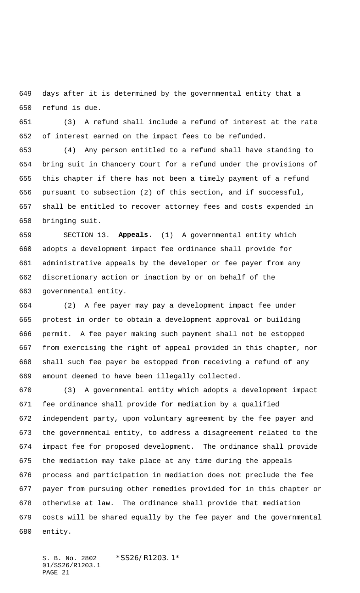days after it is determined by the governmental entity that a refund is due.

 (3) A refund shall include a refund of interest at the rate of interest earned on the impact fees to be refunded.

 (4) Any person entitled to a refund shall have standing to bring suit in Chancery Court for a refund under the provisions of this chapter if there has not been a timely payment of a refund pursuant to subsection (2) of this section, and if successful, shall be entitled to recover attorney fees and costs expended in bringing suit.

 SECTION 13. **Appeals.** (1) A governmental entity which adopts a development impact fee ordinance shall provide for administrative appeals by the developer or fee payer from any discretionary action or inaction by or on behalf of the governmental entity.

 (2) A fee payer may pay a development impact fee under protest in order to obtain a development approval or building permit. A fee payer making such payment shall not be estopped from exercising the right of appeal provided in this chapter, nor shall such fee payer be estopped from receiving a refund of any amount deemed to have been illegally collected.

 (3) A governmental entity which adopts a development impact fee ordinance shall provide for mediation by a qualified independent party, upon voluntary agreement by the fee payer and the governmental entity, to address a disagreement related to the impact fee for proposed development. The ordinance shall provide the mediation may take place at any time during the appeals process and participation in mediation does not preclude the fee payer from pursuing other remedies provided for in this chapter or otherwise at law. The ordinance shall provide that mediation costs will be shared equally by the fee payer and the governmental entity.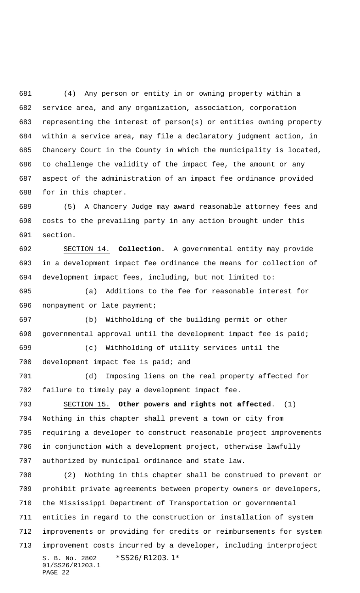(4) Any person or entity in or owning property within a service area, and any organization, association, corporation representing the interest of person(s) or entities owning property within a service area, may file a declaratory judgment action, in Chancery Court in the County in which the municipality is located, to challenge the validity of the impact fee, the amount or any aspect of the administration of an impact fee ordinance provided for in this chapter.

 (5) A Chancery Judge may award reasonable attorney fees and costs to the prevailing party in any action brought under this section.

 SECTION 14. **Collection.** A governmental entity may provide in a development impact fee ordinance the means for collection of development impact fees, including, but not limited to:

 (a) Additions to the fee for reasonable interest for nonpayment or late payment;

 (b) Withholding of the building permit or other governmental approval until the development impact fee is paid;

 (c) Withholding of utility services until the development impact fee is paid; and

 (d) Imposing liens on the real property affected for failure to timely pay a development impact fee.

 SECTION 15. **Other powers and rights not affected**. (1) Nothing in this chapter shall prevent a town or city from requiring a developer to construct reasonable project improvements in conjunction with a development project, otherwise lawfully authorized by municipal ordinance and state law.

S. B. No. 2802 \*SS26/R1203.1\* 01/SS26/R1203.1 PAGE 22 (2) Nothing in this chapter shall be construed to prevent or prohibit private agreements between property owners or developers, the Mississippi Department of Transportation or governmental entities in regard to the construction or installation of system improvements or providing for credits or reimbursements for system improvement costs incurred by a developer, including interproject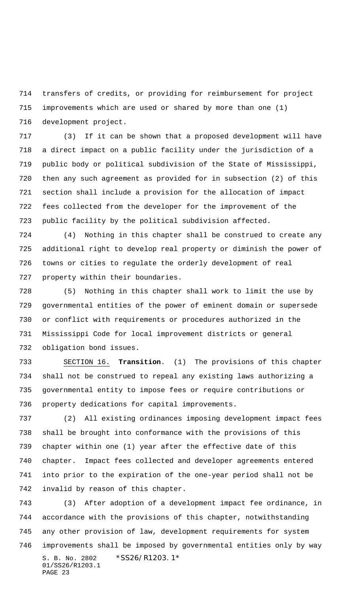transfers of credits, or providing for reimbursement for project improvements which are used or shared by more than one (1) development project.

 (3) If it can be shown that a proposed development will have a direct impact on a public facility under the jurisdiction of a public body or political subdivision of the State of Mississippi, then any such agreement as provided for in subsection (2) of this section shall include a provision for the allocation of impact fees collected from the developer for the improvement of the public facility by the political subdivision affected.

 (4) Nothing in this chapter shall be construed to create any additional right to develop real property or diminish the power of towns or cities to regulate the orderly development of real property within their boundaries.

 (5) Nothing in this chapter shall work to limit the use by governmental entities of the power of eminent domain or supersede or conflict with requirements or procedures authorized in the Mississippi Code for local improvement districts or general obligation bond issues.

 SECTION 16. **Transition**. (1) The provisions of this chapter shall not be construed to repeal any existing laws authorizing a governmental entity to impose fees or require contributions or property dedications for capital improvements.

 (2) All existing ordinances imposing development impact fees shall be brought into conformance with the provisions of this chapter within one (1) year after the effective date of this chapter. Impact fees collected and developer agreements entered into prior to the expiration of the one-year period shall not be invalid by reason of this chapter.

S. B. No. 2802 \*SS26/R1203.1\* 01/SS26/R1203.1 PAGE 23 (3) After adoption of a development impact fee ordinance, in accordance with the provisions of this chapter, notwithstanding any other provision of law, development requirements for system improvements shall be imposed by governmental entities only by way